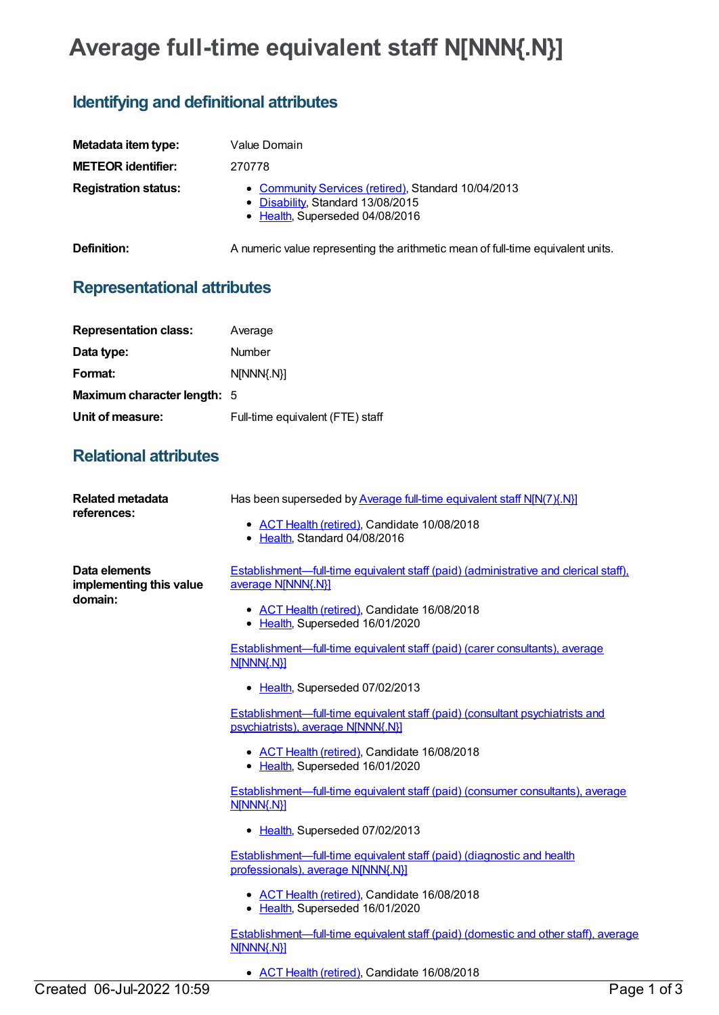## **Average full-time equivalent staff N[NNN{.N}]**

## **Identifying and definitional attributes**

| Metadata item type:         | Value Domain                                                                                                                |
|-----------------------------|-----------------------------------------------------------------------------------------------------------------------------|
| <b>METEOR identifier:</b>   | 270778                                                                                                                      |
| <b>Registration status:</b> | • Community Services (retired), Standard 10/04/2013<br>• Disability, Standard 13/08/2015<br>• Health, Superseded 04/08/2016 |
| Definition:                 | A numeric value representing the arithmetic mean of full-time equivalent units.                                             |

## **Representational attributes**

| <b>Representation class:</b>       | Average                          |
|------------------------------------|----------------------------------|
| Data type:                         | Number                           |
| Format:                            | N[NNN{.N}]                       |
| <b>Maximum character length: 5</b> |                                  |
| Unit of measure:                   | Full-time equivalent (FTE) staff |

## **Relational attributes**

| <b>Related metadata</b><br>references:              | Has been superseded by Average full-time equivalent staff N[N(7){.N}]<br>• ACT Health (retired), Candidate 10/08/2018<br>• Health, Standard 04/08/2016                                        |
|-----------------------------------------------------|-----------------------------------------------------------------------------------------------------------------------------------------------------------------------------------------------|
| Data elements<br>implementing this value<br>domain: | Establishment—full-time equivalent staff (paid) (administrative and clerical staff),<br>average N[NNN{.N}]<br>• ACT Health (retired), Candidate 16/08/2018<br>• Health, Superseded 16/01/2020 |
|                                                     | Establishment—full-time equivalent staff (paid) (carer consultants), average<br>N[NNN{.N}]                                                                                                    |
|                                                     | • Health, Superseded 07/02/2013                                                                                                                                                               |
|                                                     | <u>Establishment—full-time equivalent staff (paid) (consultant psychiatrists and</u><br>psychiatrists), average N[NNN{.N}]                                                                    |
|                                                     | • ACT Health (retired), Candidate 16/08/2018<br>• Health, Superseded 16/01/2020                                                                                                               |
|                                                     | <b>Establishment—full-time equivalent staff (paid) (consumer consultants), average</b><br>N[NNN{.N}]                                                                                          |
|                                                     | • Health, Superseded 07/02/2013                                                                                                                                                               |
|                                                     | Establishment—full-time equivalent staff (paid) (diagnostic and health<br>professionals), average N[NNN{.N}]                                                                                  |
|                                                     | • ACT Health (retired), Candidate 16/08/2018<br>• Health, Superseded 16/01/2020                                                                                                               |
|                                                     | Establishment—full-time equivalent staff (paid) (domestic and other staff), average<br>N[NNN{.N}]                                                                                             |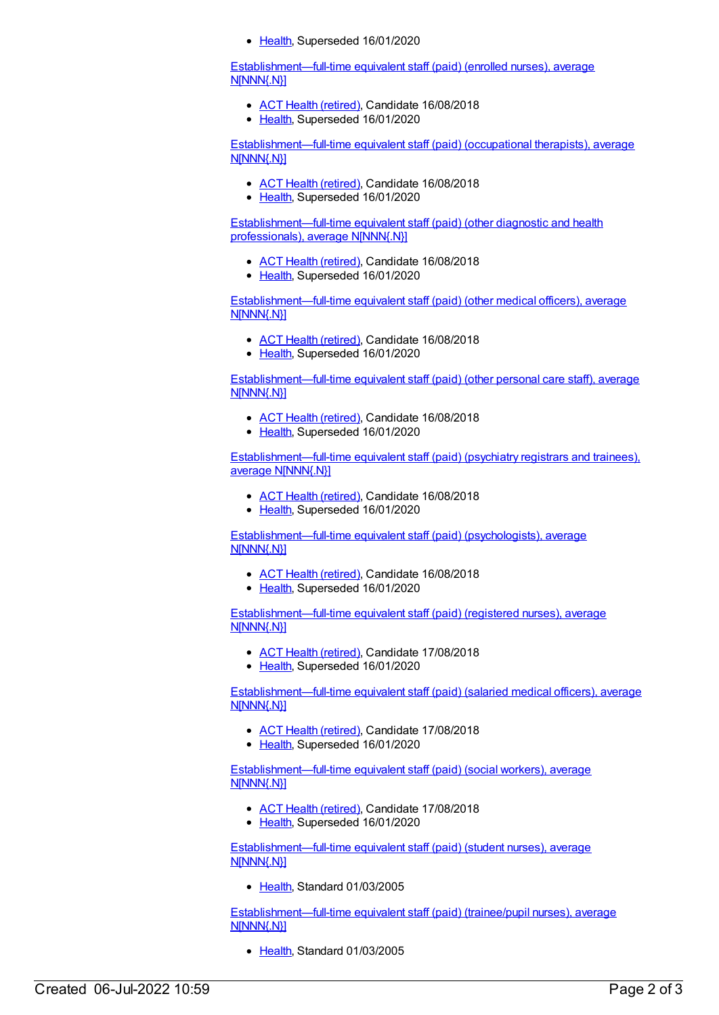• [Health](https://meteor.aihw.gov.au/RegistrationAuthority/12), Superseded 16/01/2020

[Establishment—full-time](https://meteor.aihw.gov.au/content/270497) equivalent staff (paid) (enrolled nurses), average N[NNN{.N}]

- ACT Health [\(retired\)](https://meteor.aihw.gov.au/RegistrationAuthority/9), Candidate 16/08/2018
- [Health](https://meteor.aihw.gov.au/RegistrationAuthority/12), Superseded 16/01/2020

[Establishment—full-time](https://meteor.aihw.gov.au/content/287603) equivalent staff (paid) (occupational therapists), average N[NNN{.N}]

- ACT Health [\(retired\)](https://meteor.aihw.gov.au/RegistrationAuthority/9), Candidate 16/08/2018
- [Health](https://meteor.aihw.gov.au/RegistrationAuthority/12), Superseded 16/01/2020

[Establishment—full-time](https://meteor.aihw.gov.au/content/287611) equivalent staff (paid) (other diagnostic and health professionals), average N[NNN{.N}]

- ACT Health [\(retired\)](https://meteor.aihw.gov.au/RegistrationAuthority/9), Candidate 16/08/2018
- [Health](https://meteor.aihw.gov.au/RegistrationAuthority/12), Superseded 16/01/2020

[Establishment—full-time](https://meteor.aihw.gov.au/content/287531) equivalent staff (paid) (other medical officers), average N[NNN{.N}]

- ACT Health [\(retired\)](https://meteor.aihw.gov.au/RegistrationAuthority/9), Candidate 16/08/2018
- [Health](https://meteor.aihw.gov.au/RegistrationAuthority/12), Superseded 16/01/2020

[Establishment—full-time](https://meteor.aihw.gov.au/content/270171) equivalent staff (paid) (other personal care staff), average N[NNN{.N}]

- ACT Health [\(retired\)](https://meteor.aihw.gov.au/RegistrationAuthority/9), Candidate 16/08/2018
- [Health](https://meteor.aihw.gov.au/RegistrationAuthority/12), Superseded 16/01/2020

[Establishment—full-time](https://meteor.aihw.gov.au/content/287529) equivalent staff (paid) (psychiatry registrars and trainees), average N[NNN{.N}]

- ACT Health [\(retired\)](https://meteor.aihw.gov.au/RegistrationAuthority/9), Candidate 16/08/2018
- [Health](https://meteor.aihw.gov.au/RegistrationAuthority/12), Superseded 16/01/2020

[Establishment—full-time](https://meteor.aihw.gov.au/content/287609) equivalent staff (paid) (psychologists), average N[NNN{.N}]

- ACT Health [\(retired\)](https://meteor.aihw.gov.au/RegistrationAuthority/9), Candidate 16/08/2018
- [Health](https://meteor.aihw.gov.au/RegistrationAuthority/12), Superseded 16/01/2020

[Establishment—full-time](https://meteor.aihw.gov.au/content/270500) equivalent staff (paid) (registered nurses), average NINNN{.N}]

- ACT Health [\(retired\)](https://meteor.aihw.gov.au/RegistrationAuthority/9), Candidate 17/08/2018
- [Health](https://meteor.aihw.gov.au/RegistrationAuthority/12), Superseded 16/01/2020

[Establishment—full-time](https://meteor.aihw.gov.au/content/270494) equivalent staff (paid) (salaried medical officers), average N[NNN{.N}]

- ACT Health [\(retired\)](https://meteor.aihw.gov.au/RegistrationAuthority/9), Candidate 17/08/2018
- [Health](https://meteor.aihw.gov.au/RegistrationAuthority/12), Superseded 16/01/2020

[Establishment—full-time](https://meteor.aihw.gov.au/content/287607) equivalent staff (paid) (social workers), average N[NNN{.N}]

- ACT Health [\(retired\)](https://meteor.aihw.gov.au/RegistrationAuthority/9), Candidate 17/08/2018
- [Health](https://meteor.aihw.gov.au/RegistrationAuthority/12), Superseded 16/01/2020

[Establishment—full-time](https://meteor.aihw.gov.au/content/270499) equivalent staff (paid) (student nurses), average **N[NNN{.N}]** 

• [Health](https://meteor.aihw.gov.au/RegistrationAuthority/12), Standard 01/03/2005

[Establishment—full-time](https://meteor.aihw.gov.au/content/270493) equivalent staff (paid) (trainee/pupil nurses), average N[NNN{.N}]

• [Health](https://meteor.aihw.gov.au/RegistrationAuthority/12), Standard 01/03/2005